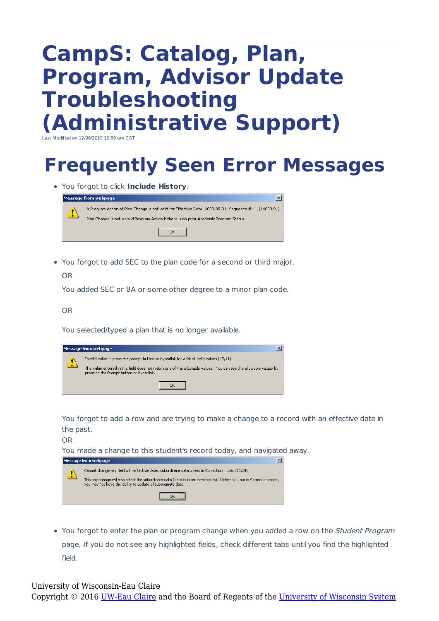## **CampS: Catalog, Plan, Program, Advisor Update Troubleshooting (Administrative Support)**

Last Modified on  $12/06/2019$   $10:59$  am CS

## **Frequently Seen Error Messages**

You forgot to click **Include History**.

|          | $\vert x \vert$<br>Message from webpage                                                                                                                                                           |  |
|----------|---------------------------------------------------------------------------------------------------------------------------------------------------------------------------------------------------|--|
| <u>4</u> | A Program Action of Plan Change is not valid for Effective Date: 2008-09-01, Sequence #: 1. (14600,91)<br>Plan Change is not a valid Program Action if there is no prior Academic Program Status. |  |
|          |                                                                                                                                                                                                   |  |

You forgot to add SEC to the plan code for a second or third major.

OR

You added SEC or BA or some other degree to a minor plan code.

OR

You selected/typed a plan that is no longer available.

|              | Message from webpage                                                                                                                                                                                                                                   |
|--------------|--------------------------------------------------------------------------------------------------------------------------------------------------------------------------------------------------------------------------------------------------------|
| $\mathbf{u}$ | Invalid value -- press the prompt button or hyperlink for a list of valid values (15,11)<br>The value entered in the field does not match one of the allowable values. You can see the allowable values by<br>pressing the Prompt button or hyperlink. |
|              |                                                                                                                                                                                                                                                        |

You forgot to add a row and are trying to make a change to a record with an effective date in the past.

OR

You made a change to this student's record today, and navigated away.

|            | $\times$<br>Message from webpage                                                                                                                                                                                                                                                                      |
|------------|-------------------------------------------------------------------------------------------------------------------------------------------------------------------------------------------------------------------------------------------------------------------------------------------------------|
| $\sqrt{1}$ | (15,34) . Cannot change key field with effective dated subordinate data unless in Correction mode. (15,34)<br>This key change will also effect the subordinate data (data in lower level scrolls). Unless you are in Correction mode,<br>you may not have the ability to update all subordinate data. |
|            |                                                                                                                                                                                                                                                                                                       |

• You forgot to enter the plan or program change when you added a row on the *Student Program* page. If you do not see any highlighted fields, check different tabs until you find the highlighted field.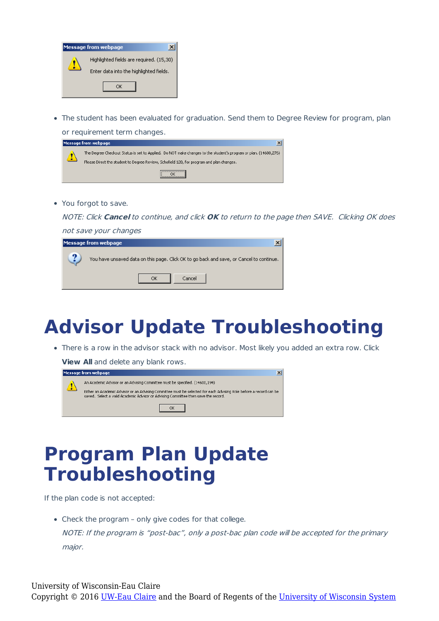| <b>Message from webpage</b>              |
|------------------------------------------|
| Highlighted fields are required. (15,30) |
| Enter data into the highlighted fields.  |
|                                          |

The student has been evaluated for graduation. Send them to Degree Review for program, plan or requirement term changes.

| <b>Message from webpage</b>                                                                                                                                                                                 |
|-------------------------------------------------------------------------------------------------------------------------------------------------------------------------------------------------------------|
| The Degree Checkout Status is set to Applied. Do NOT make changes to the student's program or plan. (14600,276)<br>Please Direct the student to Degree Review, Schofield 128, for program and plan changes. |
|                                                                                                                                                                                                             |

You forgot to save.

NOTE: Click **Cancel** to continue, and click **OK** to return to the page then SAVE. Clicking OK does

| not save your changes |                                                                                          |  |
|-----------------------|------------------------------------------------------------------------------------------|--|
|                       | Message from webpage                                                                     |  |
|                       | You have unsaved data on this page. Click OK to go back and save, or Cancel to continue. |  |
|                       | Cancel<br>ок                                                                             |  |

## **Advisor Update Troubleshooting**

There is a row in the advisor stack with no advisor. Most likely you added an extra row. Click

**College** 

**View All** and delete any blank rows.

| lMessage from webpage.                                                                                                                                                                                                                                                                  |
|-----------------------------------------------------------------------------------------------------------------------------------------------------------------------------------------------------------------------------------------------------------------------------------------|
| An Academic Advisor or an Advising Committee must be specified. (14600,194)<br>Either an Academic Advisor or an Advising Committee must be selected for each Advising Role before a record can be<br>saved. Select a valid Academic Advisor or Advising Committee then save the record. |
|                                                                                                                                                                                                                                                                                         |

## **Program Plan Update Troubleshooting**

If the plan code is not accepted:

• Check the program - only give codes for that college.

NOTE: If the program is "post-bac", only <sup>a</sup> post-bac plan code will be accepted for the primary major.